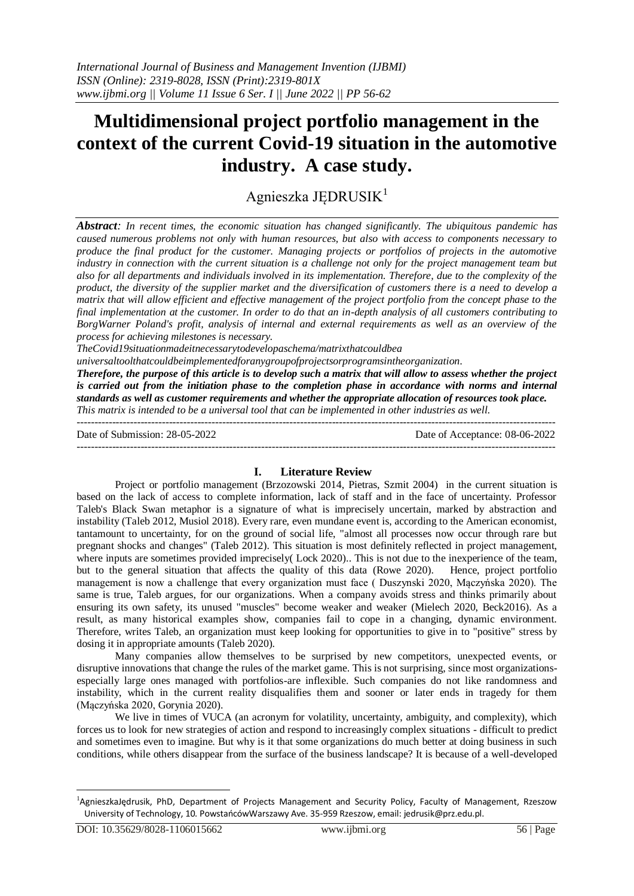# **Multidimensional project portfolio management in the context of the current Covid-19 situation in the automotive industry. A case study.**

Agnieszka JĘDRUSIK<sup>1</sup>

*Abstract: In recent times, the economic situation has changed significantly. The ubiquitous pandemic has caused numerous problems not only with human resources, but also with access to components necessary to produce the final product for the customer. Managing projects or portfolios of projects in the automotive*  industry in connection with the current situation is a challenge not only for the project management team but *also for all departments and individuals involved in its implementation. Therefore, due to the complexity of the product, the diversity of the supplier market and the diversification of customers there is a need to develop a matrix that will allow efficient and effective management of the project portfolio from the concept phase to the final implementation at the customer. In order to do that an in-depth analysis of all customers contributing to BorgWarner Poland's profit, analysis of internal and external requirements as well as an overview of the process for achieving milestones is necessary.*

*TheCovid19situationmadeitnecessarytodevelopaschema/matrixthatcouldbea*

*universaltoolthatcouldbeimplementedforanygroupofprojectsorprogramsintheorganization.*

*Therefore, the purpose of this article is to develop such a matrix that will allow to assess whether the project is carried out from the initiation phase to the completion phase in accordance with norms and internal standards as well as customer requirements and whether the appropriate allocation of resources took place. This matrix is intended to be a universal tool that can be implemented in other industries as well.*

---------------------------------------------------------------------------------------------------------------------------------------

Date of Submission: 28-05-2022 Date of Acceptance: 08-06-2022

#### $-1-\frac{1}{2}$

## **I. Literature Review**

Project or portfolio management (Brzozowski 2014, Pietras, Szmit 2004) in the current situation is based on the lack of access to complete information, lack of staff and in the face of uncertainty. Professor Taleb's Black Swan metaphor is a signature of what is imprecisely uncertain, marked by abstraction and instability (Taleb 2012, Musiol 2018). Every rare, even mundane event is, according to the American economist, tantamount to uncertainty, for on the ground of social life, "almost all processes now occur through rare but pregnant shocks and changes" (Taleb 2012). This situation is most definitely reflected in project management, where inputs are sometimes provided imprecisely(Lock 2020). This is not due to the inexperience of the team, but to the general situation that affects the quality of this data (Rowe 2020). Hence, project portfolio management is now a challenge that every organization must face ( Duszynski 2020, Mączyńska 2020). The same is true, Taleb argues, for our organizations. When a company avoids stress and thinks primarily about ensuring its own safety, its unused "muscles" become weaker and weaker (Mielech 2020, Beck2016). As a result, as many historical examples show, companies fail to cope in a changing, dynamic environment. Therefore, writes Taleb, an organization must keep looking for opportunities to give in to "positive" stress by dosing it in appropriate amounts (Taleb 2020).

Many companies allow themselves to be surprised by new competitors, unexpected events, or disruptive innovations that change the rules of the market game. This is not surprising, since most organizationsespecially large ones managed with portfolios-are inflexible. Such companies do not like randomness and instability, which in the current reality disqualifies them and sooner or later ends in tragedy for them (Mączyńska 2020, Gorynia 2020).

We live in times of VUCA (an acronym for volatility, uncertainty, ambiguity, and complexity), which forces us to look for new strategies of action and respond to increasingly complex situations - difficult to predict and sometimes even to imagine. But why is it that some organizations do much better at doing business in such conditions, while others disappear from the surface of the business landscape? It is because of a well-developed

<u>.</u>

<sup>&</sup>lt;sup>1</sup>AgnieszkaJędrusik, PhD, Department of Projects Management and Security Policy, Faculty of Management, Rzeszow University of Technology, 10. PowstańcówWarszawy Ave. 35-959 Rzeszow, email: jedrusik@prz.edu.pl.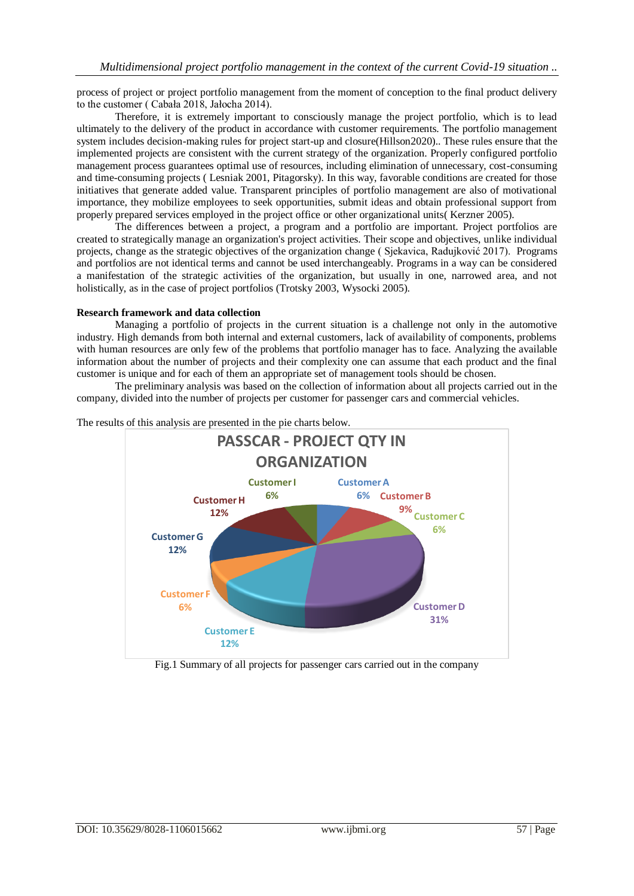process of project or project portfolio management from the moment of conception to the final product delivery to the customer ( Cabała 2018, Jałocha 2014).

Therefore, it is extremely important to consciously manage the project portfolio, which is to lead ultimately to the delivery of the product in accordance with customer requirements. The portfolio management system includes decision-making rules for project start-up and closure(Hillson2020).. These rules ensure that the implemented projects are consistent with the current strategy of the organization. Properly configured portfolio management process guarantees optimal use of resources, including elimination of unnecessary, cost-consuming and time-consuming projects ( Lesniak 2001, Pitagorsky). In this way, favorable conditions are created for those initiatives that generate added value. Transparent principles of portfolio management are also of motivational importance, they mobilize employees to seek opportunities, submit ideas and obtain professional support from properly prepared services employed in the project office or other organizational units( Kerzner 2005).

The differences between a project, a program and a portfolio are important. Project portfolios are created to strategically manage an organization's project activities. Their scope and objectives, unlike individual projects, change as the strategic objectives of the organization change ( Sjekavica, Radujković 2017). Programs and portfolios are not identical terms and cannot be used interchangeably. Programs in a way can be considered a manifestation of the strategic activities of the organization, but usually in one, narrowed area, and not holistically, as in the case of project portfolios (Trotsky 2003, Wysocki 2005).

### **Research framework and data collection**

Managing a portfolio of projects in the current situation is a challenge not only in the automotive industry. High demands from both internal and external customers, lack of availability of components, problems with human resources are only few of the problems that portfolio manager has to face. Analyzing the available information about the number of projects and their complexity one can assume that each product and the final customer is unique and for each of them an appropriate set of management tools should be chosen.

The preliminary analysis was based on the collection of information about all projects carried out in the company, divided into the number of projects per customer for passenger cars and commercial vehicles.



The results of this analysis are presented in the pie charts below.

Fig.1 Summary of all projects for passenger cars carried out in the company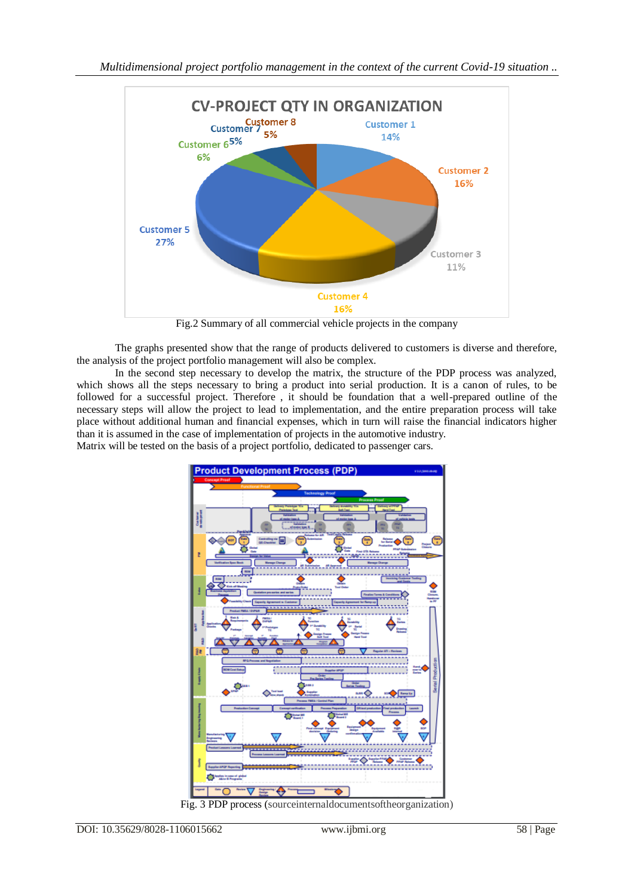

Fig.2 Summary of all commercial vehicle projects in the company

The graphs presented show that the range of products delivered to customers is diverse and therefore, the analysis of the project portfolio management will also be complex.

In the second step necessary to develop the matrix, the structure of the PDP process was analyzed, which shows all the steps necessary to bring a product into serial production. It is a canon of rules, to be followed for a successful project. Therefore , it should be foundation that a well-prepared outline of the necessary steps will allow the project to lead to implementation, and the entire preparation process will take place without additional human and financial expenses, which in turn will raise the financial indicators higher than it is assumed in the case of implementation of projects in the automotive industry. Matrix will be tested on the basis of a project portfolio, dedicated to passenger cars.



Fig. 3 PDP process (sourceinternaldocumentsoftheorganization)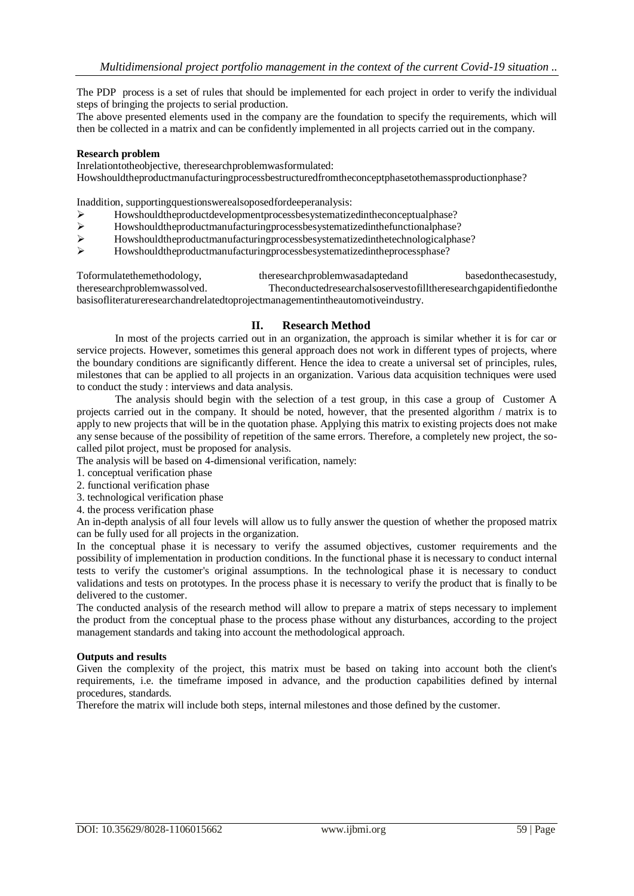The PDP process is a set of rules that should be implemented for each project in order to verify the individual steps of bringing the projects to serial production.

The above presented elements used in the company are the foundation to specify the requirements, which will then be collected in a matrix and can be confidently implemented in all projects carried out in the company.

#### **Research problem**

Inrelationtotheobjective, theresearchproblemwasformulated:

Howshouldtheproductmanufacturingprocessbestructuredfromtheconceptphasetothemassproductionphase?

Inaddition, supportingquestionswerealsoposedfordeeperanalysis:

- Howshouldtheproductdevelopmentprocessbesystematizedintheconceptualphase?
- $\triangleright$  Howshouldtheproductmanufacturingprocessbesystematizedinthefunctionalphase?<br>
Howshouldtheproductmanufacturingprocessbesystematizedinthetechnologicalphase
- Howshouldtheproductmanufacturingprocessbesystematizedinthetechnologicalphase?
- Howshouldtheproductmanufacturingprocessbesystematizedintheprocessphase?

Toformulatethemethodology, theresearchproblemwasadaptedand basedonthecasestudy, theresearchproblemwassolved. Theconductedresearchalsoservestofilltheresearchgapidentifiedonthe basisofliteratureresearchandrelatedtoprojectmanagementintheautomotiveindustry.

#### **II. Research Method**

In most of the projects carried out in an organization, the approach is similar whether it is for car or service projects. However, sometimes this general approach does not work in different types of projects, where the boundary conditions are significantly different. Hence the idea to create a universal set of principles, rules, milestones that can be applied to all projects in an organization. Various data acquisition techniques were used to conduct the study : interviews and data analysis.

The analysis should begin with the selection of a test group, in this case a group of Customer A projects carried out in the company. It should be noted, however, that the presented algorithm / matrix is to apply to new projects that will be in the quotation phase. Applying this matrix to existing projects does not make any sense because of the possibility of repetition of the same errors. Therefore, a completely new project, the socalled pilot project, must be proposed for analysis.

The analysis will be based on 4-dimensional verification, namely:

- 1. conceptual verification phase
- 2. functional verification phase
- 3. technological verification phase
- 4. the process verification phase

An in-depth analysis of all four levels will allow us to fully answer the question of whether the proposed matrix can be fully used for all projects in the organization.

In the conceptual phase it is necessary to verify the assumed objectives, customer requirements and the possibility of implementation in production conditions. In the functional phase it is necessary to conduct internal tests to verify the customer's original assumptions. In the technological phase it is necessary to conduct validations and tests on prototypes. In the process phase it is necessary to verify the product that is finally to be delivered to the customer.

The conducted analysis of the research method will allow to prepare a matrix of steps necessary to implement the product from the conceptual phase to the process phase without any disturbances, according to the project management standards and taking into account the methodological approach.

#### **Outputs and results**

Given the complexity of the project, this matrix must be based on taking into account both the client's requirements, i.e. the timeframe imposed in advance, and the production capabilities defined by internal procedures, standards.

Therefore the matrix will include both steps, internal milestones and those defined by the customer.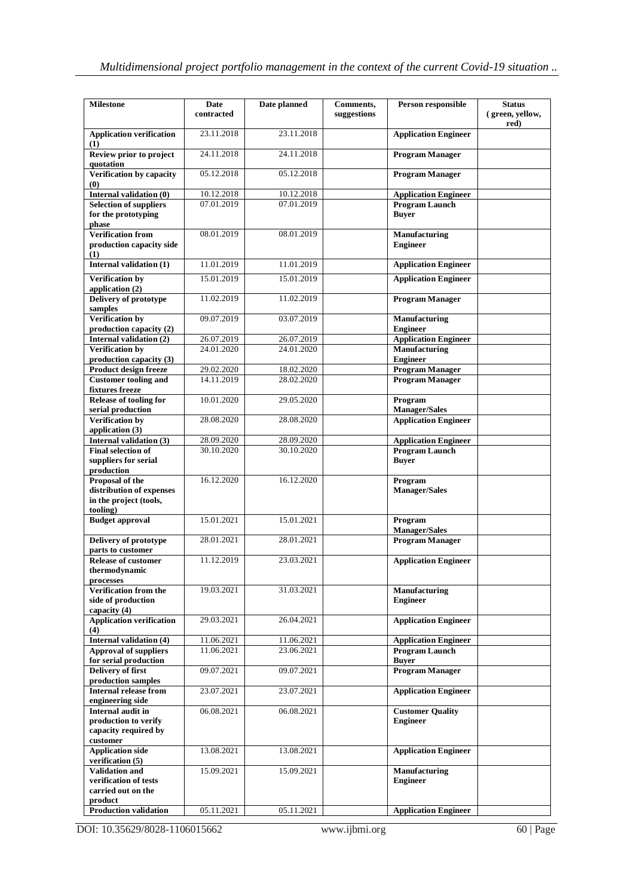| <b>Milestone</b>                                       | Date<br>contracted | Date planned | Comments,<br>suggestions | Person responsible                               | <b>Status</b><br>(green, vellow, |
|--------------------------------------------------------|--------------------|--------------|--------------------------|--------------------------------------------------|----------------------------------|
|                                                        |                    |              |                          |                                                  | red)                             |
| <b>Application verification</b><br>(1)                 | 23.11.2018         | 23.11.2018   |                          | <b>Application Engineer</b>                      |                                  |
| Review prior to project<br>quotation                   | 24.11.2018         | 24.11.2018   |                          | <b>Program Manager</b>                           |                                  |
| Verification by capacity<br>(0)                        | 05.12.2018         | 05.12.2018   |                          | <b>Program Manager</b>                           |                                  |
| Internal validation (0)                                | 10.12.2018         | 10.12.2018   |                          | <b>Application Engineer</b>                      |                                  |
| <b>Selection of suppliers</b>                          | 07.01.2019         | 07.01.2019   |                          | <b>Program Launch</b>                            |                                  |
| for the prototyping<br>phase                           |                    |              |                          | <b>Buver</b>                                     |                                  |
| <b>Verification from</b>                               | 08.01.2019         | 08.01.2019   |                          | Manufacturing                                    |                                  |
| production capacity side<br>(1)                        |                    |              |                          | <b>Engineer</b>                                  |                                  |
| Internal validation (1)                                | 11.01.2019         | 11.01.2019   |                          | <b>Application Engineer</b>                      |                                  |
| <b>Verification by</b><br>application (2)              | 15.01.2019         | 15.01.2019   |                          | <b>Application Engineer</b>                      |                                  |
| Delivery of prototype                                  | 11.02.2019         | 11.02.2019   |                          | <b>Program Manager</b>                           |                                  |
| samples                                                |                    | 03.07.2019   |                          |                                                  |                                  |
| <b>Verification by</b><br>production capacity (2)      | 09.07.2019         |              |                          | Manufacturing<br><b>Engineer</b>                 |                                  |
| Internal validation (2)                                | 26.07.2019         | 26.07.2019   |                          | <b>Application Engineer</b>                      |                                  |
| Verification by                                        | 24.01.2020         | 24.01.2020   |                          | Manufacturing                                    |                                  |
| production capacity (3)                                | 29.02.2020         | 18.02.2020   |                          | <b>Engineer</b>                                  |                                  |
| Product design freeze<br><b>Customer tooling and</b>   | 14.11.2019         | 28.02.2020   |                          | <b>Program Manager</b><br><b>Program Manager</b> |                                  |
| fixtures freeze                                        |                    |              |                          |                                                  |                                  |
| <b>Release of tooling for</b><br>serial production     | 10.01.2020         | 29.05.2020   |                          | Program<br><b>Manager/Sales</b>                  |                                  |
| <b>Verification by</b><br>application (3)              | 28.08.2020         | 28.08.2020   |                          | <b>Application Engineer</b>                      |                                  |
| Internal validation (3)                                | 28.09.2020         | 28.09.2020   |                          | <b>Application Engineer</b>                      |                                  |
| <b>Final selection of</b>                              | 30.10.2020         | 30.10.2020   |                          | Program Launch                                   |                                  |
| suppliers for serial<br>production                     |                    |              |                          | <b>Buyer</b>                                     |                                  |
| Proposal of the                                        | 16.12.2020         | 16.12.2020   |                          | Program                                          |                                  |
| distribution of expenses                               |                    |              |                          | <b>Manager/Sales</b>                             |                                  |
| in the project (tools,<br>tooling)                     |                    |              |                          |                                                  |                                  |
| <b>Budget approval</b>                                 | 15.01.2021         | 15.01.2021   |                          | Program<br><b>Manager/Sales</b>                  |                                  |
| Delivery of prototype                                  | 28.01.2021         | 28.01.2021   |                          | <b>Program Manager</b>                           |                                  |
| parts to customer                                      |                    |              |                          |                                                  |                                  |
| <b>Release of customer</b><br>thermodynamic            | 11.12.2019         | 23.03.2021   |                          | <b>Application Engineer</b>                      |                                  |
| processes                                              |                    |              |                          |                                                  |                                  |
| Verification from the                                  | 19.03.2021         | 31.03.2021   |                          | Manufacturing                                    |                                  |
| side of production<br>capacity (4)                     |                    |              |                          | <b>Engineer</b>                                  |                                  |
| <b>Application verification</b><br>(4)                 | 29.03.2021         | 26.04.2021   |                          | <b>Application Engineer</b>                      |                                  |
| <b>Internal validation (4)</b>                         | 11.06.2021         | 11.06.2021   |                          | <b>Application Engineer</b>                      |                                  |
| <b>Approval of suppliers</b>                           | 11.06.2021         | 23.06.2021   |                          | Program Launch                                   |                                  |
| for serial production<br>Delivery of first             | 09.07.2021         | 09.07.2021   |                          | <b>Buver</b><br><b>Program Manager</b>           |                                  |
| production samples                                     |                    |              |                          |                                                  |                                  |
| <b>Internal release from</b><br>engineering side       | 23.07.2021         | 23.07.2021   |                          | <b>Application Engineer</b>                      |                                  |
| Internal audit in                                      | 06.08.2021         | 06.08.2021   |                          | <b>Customer Quality</b>                          |                                  |
| production to verify<br>capacity required by           |                    |              |                          | <b>Engineer</b>                                  |                                  |
| customer                                               |                    |              |                          |                                                  |                                  |
| <b>Application side</b><br>verification (5)            | 13.08.2021         | 13.08.2021   |                          | <b>Application Engineer</b>                      |                                  |
| <b>Validation and</b>                                  | 15.09.2021         | 15.09.2021   |                          | Manufacturing                                    |                                  |
| verification of tests<br>carried out on the<br>product |                    |              |                          | <b>Engineer</b>                                  |                                  |
| <b>Production validation</b>                           | 05.11.2021         | 05.11.2021   |                          | <b>Application Engineer</b>                      |                                  |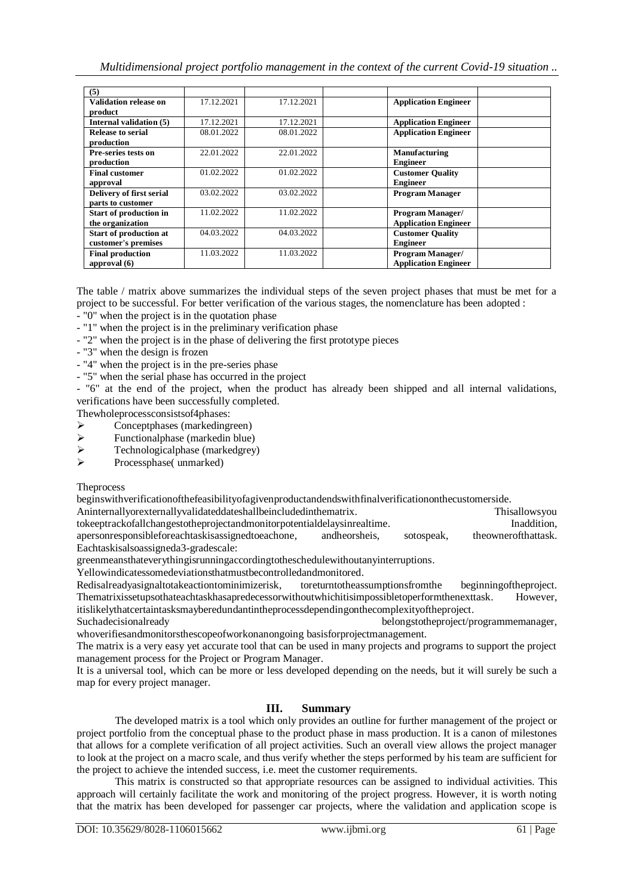*Multidimensional project portfolio management in the context of the current Covid-19 situation ..*

| (5)                          |            |            |                             |
|------------------------------|------------|------------|-----------------------------|
| <b>Validation release on</b> | 17.12.2021 | 17.12.2021 | <b>Application Engineer</b> |
| product                      |            |            |                             |
| Internal validation (5)      | 17.12.2021 | 17.12.2021 | <b>Application Engineer</b> |
| <b>Release to serial</b>     | 08.01.2022 | 08.01.2022 | <b>Application Engineer</b> |
| production                   |            |            |                             |
| Pre-series tests on          | 22.01.2022 | 22.01.2022 | Manufacturing               |
| production                   |            |            | <b>Engineer</b>             |
| <b>Final customer</b>        | 01.02.2022 | 01.02.2022 | <b>Customer Quality</b>     |
| approval                     |            |            | <b>Engineer</b>             |
| Delivery of first serial     | 03.02.2022 | 03.02.2022 | <b>Program Manager</b>      |
| parts to customer            |            |            |                             |
| Start of production in       | 11.02.2022 | 11.02.2022 | <b>Program Manager/</b>     |
| the organization             |            |            | <b>Application Engineer</b> |
| Start of production at       | 04.03.2022 | 04.03.2022 | <b>Customer Quality</b>     |
| customer's premises          |            |            | <b>Engineer</b>             |
| <b>Final production</b>      | 11.03.2022 | 11.03.2022 | <b>Program Manager/</b>     |
| approval $(6)$               |            |            | <b>Application Engineer</b> |

The table / matrix above summarizes the individual steps of the seven project phases that must be met for a project to be successful. For better verification of the various stages, the nomenclature has been adopted :

- "0" when the project is in the quotation phase
- "1" when the project is in the preliminary verification phase
- "2" when the project is in the phase of delivering the first prototype pieces
- "3" when the design is frozen
- "4" when the project is in the pre-series phase
- "5" when the serial phase has occurred in the project

- "6" at the end of the project, when the product has already been shipped and all internal validations, verifications have been successfully completed.

Thewholeprocessconsistsof4phases:

- $\triangleright$  Conceptphases (markedingreen)<br> $\triangleright$  Functional phase (markedin blue)
- $\triangleright$  Functionalphase (markedin blue)<br> $\triangleright$  Technologicalphase (markedgrev
- $\triangleright$  Technologicalphase (markedgrey)<br> $\triangleright$  Processphase(unmarked)
- Processphase( unmarked)

**Theprocess** 

beginswithverificationofthefeasibilityofagivenproductandendswithfinalverificationonthecustomerside.

Aninternallyorexternallyvalidateddateshallbeincludedinthematrix. Thisallowsyou tokeeptrackofallchangestotheprojectandmonitorpotentialdelaysinrealtime. Inaddition, apersonresponsibleforeachtaskisassignedtoeachone, andheorsheis, sotospeak, theownerofthattask. Eachtaskisalsoassigneda3-gradescale:

greenmeansthateverythingisrunningaccordingtotheschedulewithoutanyinterruptions.

Yellowindicatessomedeviationsthatmustbecontrolledandmonitored.

Redisalreadyasignaltotakeactiontominimizerisk, toreturntotheassumptionsfromthe beginningoftheproject. Thematrixissetupsothateachtaskhasapredecessorwithoutwhichitisimpossibletoperformthenexttask. However, itislikelythatcertaintasksmayberedundantintheprocessdependingonthecomplexityoftheproject.

Suchadecisionalready belongstotheproject/programmemanager, whoverifiesandmonitorsthescopeofworkonanongoing basisforprojectmanagement.

The matrix is a very easy yet accurate tool that can be used in many projects and programs to support the project management process for the Project or Program Manager.

It is a universal tool, which can be more or less developed depending on the needs, but it will surely be such a map for every project manager.

## **III. Summary**

The developed matrix is a tool which only provides an outline for further management of the project or project portfolio from the conceptual phase to the product phase in mass production. It is a canon of milestones that allows for a complete verification of all project activities. Such an overall view allows the project manager to look at the project on a macro scale, and thus verify whether the steps performed by his team are sufficient for the project to achieve the intended success, i.e. meet the customer requirements.

This matrix is constructed so that appropriate resources can be assigned to individual activities. This approach will certainly facilitate the work and monitoring of the project progress. However, it is worth noting that the matrix has been developed for passenger car projects, where the validation and application scope is